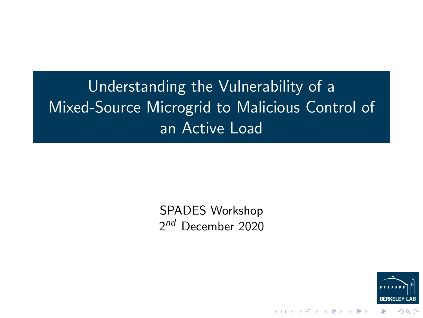# Understanding the Vulnerability of a Mixed-Source Microgrid to Malicious Control of an Active Load

SPADES Workshop 2<sup>nd</sup> December 2020



メロトメ 御 トメ 差 トメ 差 ト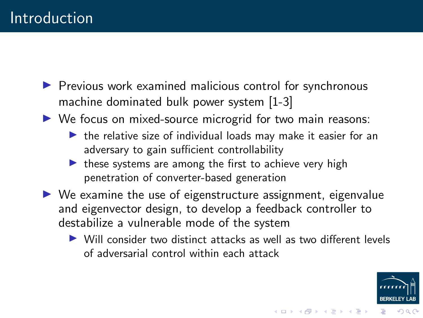- $\blacktriangleright$  Previous work examined malicious control for synchronous machine dominated bulk power system [1-3]
- $\triangleright$  We focus on mixed-source microgrid for two main reasons:
	- $\blacktriangleright$  the relative size of individual loads may make it easier for an adversary to gain sufficient controllability
	- $\triangleright$  these systems are among the first to achieve very high penetration of converter-based generation
- $\triangleright$  We examine the use of eigenstructure assignment, eigenvalue and eigenvector design, to develop a feedback controller to destabilize a vulnerable mode of the system
	- $\triangleright$  Will consider two distinct attacks as well as two different levels of adversarial control within each attack



イロメ イ団 メイミメイミメ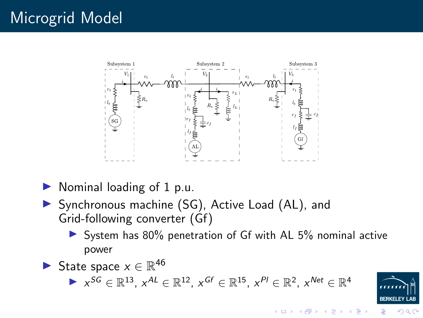## Microgrid Model



- $\triangleright$  Nominal loading of 1 p.u.
- ▶ Synchronous machine (SG), Active Load (AL), and Grid-following converter (Gf)
	- $\triangleright$  System has 80% penetration of Gf with AL 5% nominal active power
- State space  $x \in \mathbb{R}^{46}$ ►  $x^{SG} \in \mathbb{R}^{13}$ ,  $x^{AL} \in \mathbb{R}^{12}$ ,  $x^{Gf} \in \mathbb{R}^{15}$ ,  $x^{Pl} \in \mathbb{R}^{2}$ ,  $x^{Net} \in \mathbb{R}^{4}$



 $\Omega$ 

 $4\ \Box\ \rightarrow\ 4\ \overline{r}\ \rightarrow\ 4\ \overline{r}\ \rightarrow\ 4\ \overline{r}$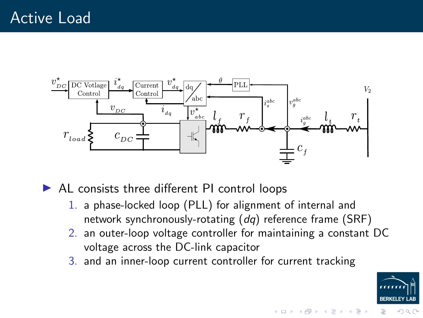

 $\blacktriangleright$  AL consists three different PI control loops

- 1. a phase-locked loop (PLL) for alignment of internal and network synchronously-rotating (dq) reference frame (SRF)
- 2. an outer-loop voltage controller for maintaining a constant DC voltage across the DC-link capacitor
- 3. and an inner-loop current controller for current tracking



 $4$  ロ }  $4$   $\overline{P}$  }  $4$   $\overline{B}$  }  $4$   $\overline{B}$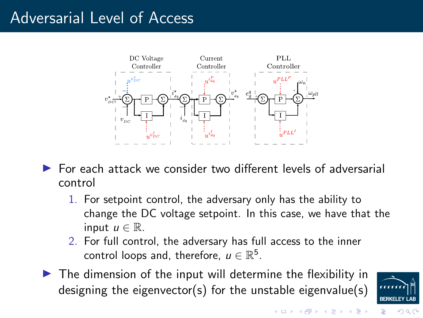#### Adversarial Level of Access



- $\triangleright$  For each attack we consider two different levels of adversarial control
	- 1. For setpoint control, the adversary only has the ability to change the DC voltage setpoint. In this case, we have that the input  $u \in \mathbb{R}$ .
	- 2. For full control, the adversary has full access to the inner control loops and, therefore,  $u \in \mathbb{R}^5$ .
- $\blacktriangleright$  The dimension of the input will determine the flexibility in designing the eigenvector(s) for the unstable eigenvalue(s)



つくい

 $4$  ロ )  $4$  何 )  $4$  ヨ )  $4$  ヨ )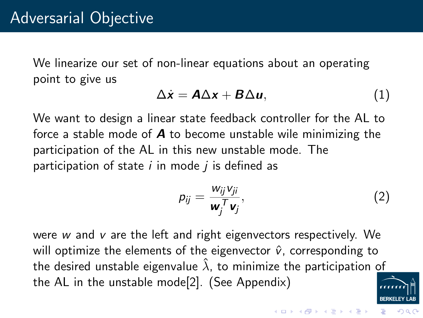We linearize our set of non-linear equations about an operating point to give us

<span id="page-5-0"></span>
$$
\Delta \dot{x} = A \Delta x + B \Delta u, \qquad (1)
$$

We want to design a linear state feedback controller for the AL to force a stable mode of  $\boldsymbol{A}$  to become unstable wile minimizing the participation of the AL in this new unstable mode. The participation of state  $i$  in mode  $j$  is defined as

$$
p_{ij} = \frac{w_{ij}v_{ji}}{\mathbf{w}_j^T\mathbf{v}_j},\tag{2}
$$

were  $w$  and  $v$  are the left and right eigenvectors respectively. We will optimize the elements of the eigenvector  $\hat{v}$ , corresponding to the desired unstable eigenvalue  $\hat{\lambda}$ , to minimize the participation of the AL in the unstable mode[2]. (See Appendix)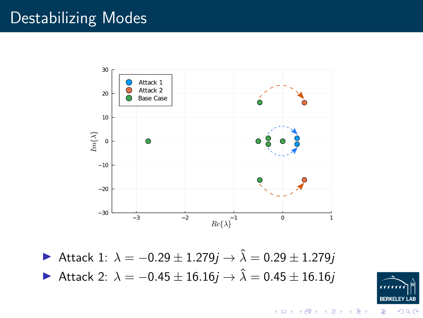#### Destabilizing Modes



 $\triangleright$  Attack 1:  $\lambda = -0.29 \pm 1.279j$  →  $\hat{\lambda} = 0.29 \pm 1.279j$  $\triangleright$  Attack 2:  $\lambda = -0.45 \pm 16.16j \rightarrow \hat{\lambda} = 0.45 \pm 16.16j$ 



つへへ

イロト イ部 トイ活 トイ店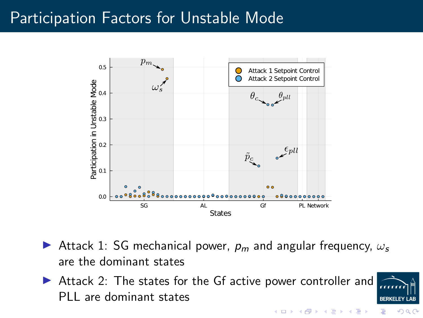#### Participation Factors for Unstable Mode



- Attack 1: SG mechanical power,  $p_m$  and angular frequency,  $\omega_s$ are the dominant states
- ▶ Attack 2: The states for the Gf active power controller and PLL are dominant states



 $\Omega$ 

イロト イ部 トイ活 トイ店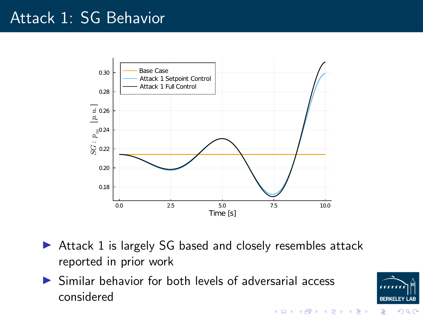#### Attack 1: SG Behavior



- $\triangleright$  Attack 1 is largely SG based and closely resembles attack reported in prior work
- $\triangleright$  Similar behavior for both levels of adversarial access considered



イロト イ団ト イミト イミト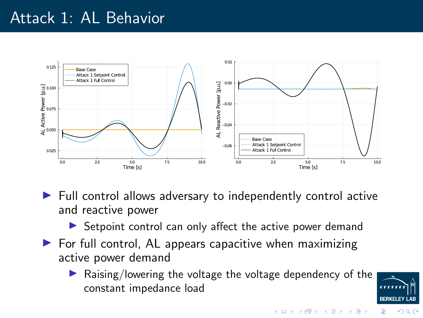#### Attack 1: AL Behavior



 $\blacktriangleright$  Full control allows adversary to independently control active and reactive power

 $\triangleright$  Setpoint control can only affect the active power demand

- $\blacktriangleright$  For full control, AL appears capacitive when maximizing active power demand
	- Raising/lowering the voltage the voltage dependency of the constant impedance load

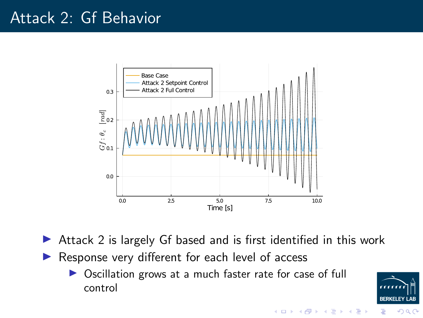#### Attack 2: Gf Behavior



- $\triangleright$  Attack 2 is largely Gf based and is first identified in this work
- $\blacktriangleright$  Response very different for each level of access
	- ▶ Oscillation grows at a much faster rate for case of full control



つへへ

イロト イ押ト イヨト イ

E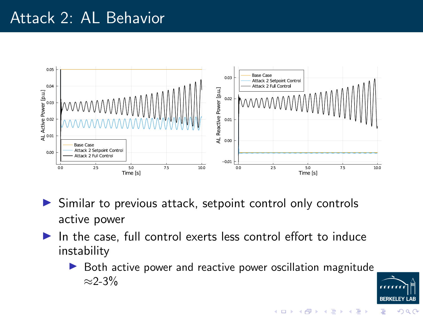#### Attack 2: AL Behavior



- $\triangleright$  Similar to previous attack, setpoint control only controls active power
- $\blacktriangleright$  In the case, full control exerts less control effort to induce instability
	- $\triangleright$  Both active power and reactive power oscillation magnitude  $\approx$ 2-3%



つへへ

イロト イ押ト イミト イミ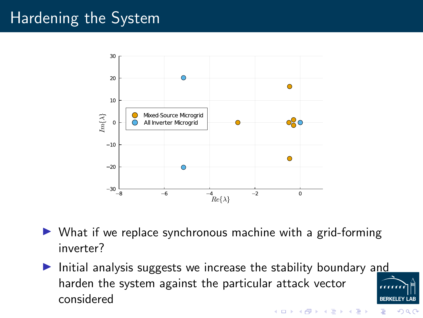### Hardening the System



- $\triangleright$  What if we replace synchronous machine with a grid-forming inverter?
- Initial analysis suggests we increase the stability boundary and harden the system against the particular attack vector considered

 $4\ \Box\ \rightarrow\ 4\ \overline{r}\ \rightarrow\ 4\ \overline{r}\ \rightarrow\ 4\ \overline{r}$ 

つへへ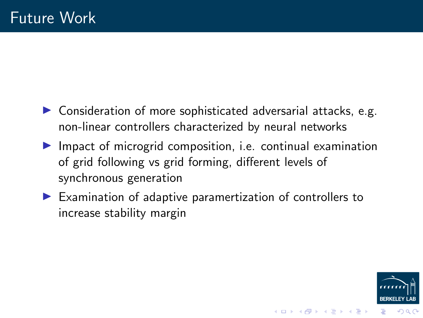- $\triangleright$  Consideration of more sophisticated adversarial attacks, e.g. non-linear controllers characterized by neural networks
- $\blacktriangleright$  Impact of microgrid composition, i.e. continual examination of grid following vs grid forming, different levels of synchronous generation
- $\blacktriangleright$  Examination of adaptive paramertization of controllers to increase stability margin



 $4$  ロ )  $4$  何 )  $4$  ヨ )  $4$  ヨ )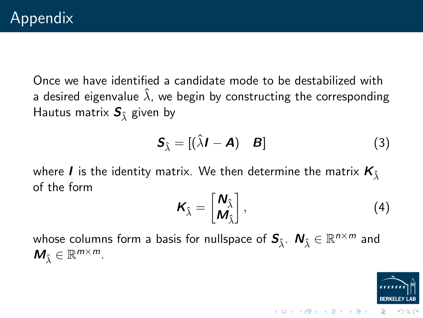Once we have identified a candidate mode to be destabilized with a desired eigenvalue  $\hat{\lambda}$ , we begin by constructing the corresponding Hautus matrix  $S_{\hat{\lambda}}$  given by

$$
\mathbf{S}_{\hat{\lambda}} = [(\hat{\lambda}\mathbf{I} - \mathbf{A}) \quad \mathbf{B}] \tag{3}
$$

where **I** is the identity matrix. We then determine the matrix  $K_{\hat{1}}$ of the form

$$
\boldsymbol{K}_{\hat{\lambda}} = \begin{bmatrix} \boldsymbol{N}_{\hat{\lambda}} \\ \boldsymbol{M}_{\hat{\lambda}} \end{bmatrix}, \tag{4}
$$

イロト イ団ト イミト イミト

whose columns form a basis for nullspace of  $\bm{S}_{\hat{\lambda}}$ .  $\bm{N}_{\hat{\lambda}} \in \mathbb{R}^{n \times m}$  and  $M_{\hat{\lambda}} \in \mathbb{R}^{m \times m}$ .

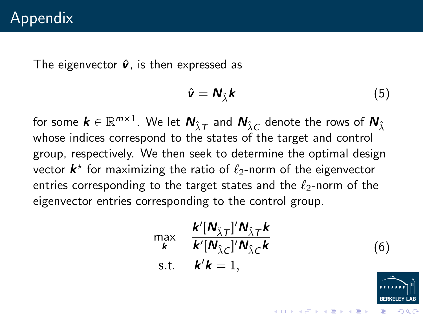The eigenvector  $\hat{v}$ , is then expressed as

$$
\hat{\mathbf{v}} = \mathbf{N}_{\hat{\lambda}} \mathbf{k} \tag{5}
$$

for some  $\pmb k\in\mathbb{R}^{m\times 1}.$  We let  $\pmb N_{\hat\lambda\mathcal T}$  and  $\pmb N_{\hat\lambda\mathcal C}$  denote the rows of  $\pmb N_{\hat\lambda}$ whose indices correspond to the states of the target and control group, respectively. We then seek to determine the optimal design vector  $\bm{k}^\star$  for maximizing the ratio of  $\ell_2$ -norm of the eigenvector entries corresponding to the target states and the  $\ell_2$ -norm of the eigenvector entries corresponding to the control group.

$$
\max_{\mathbf{k}} \quad \frac{\mathbf{k}'[\mathbf{N}_{\hat{\lambda}T}]'\mathbf{N}_{\hat{\lambda}T}\mathbf{k}}{\mathbf{k}'[\mathbf{N}_{\hat{\lambda}C}]'\mathbf{N}_{\hat{\lambda}C}\mathbf{k}}
$$
\ns.t.  $\mathbf{k}'\mathbf{k} = 1$ ,\n  
\n(6)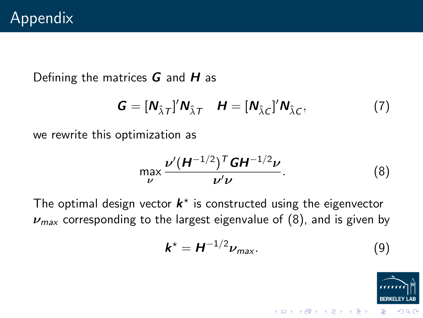Defining the matrices  $G$  and  $H$  as

$$
\mathbf{G} = [\mathbf{N}_{\hat{\lambda}\mathbf{T}}]'\mathbf{N}_{\hat{\lambda}\mathbf{T}} \quad \mathbf{H} = [\mathbf{N}_{\hat{\lambda}\mathbf{C}}]'\mathbf{N}_{\hat{\lambda}\mathbf{C}}, \tag{7}
$$

we rewrite this optimization as

<span id="page-16-0"></span>
$$
\max_{\nu} \frac{\nu' (H^{-1/2})^T G H^{-1/2} \nu}{\nu' \nu}.
$$
 (8)

The optimal design vector  $k^*$  is constructed using the eigenvector  $\nu_{\text{max}}$  corresponding to the largest eigenvalue of [\(8\)](#page-16-0), and is given by

$$
\mathbf{k}^* = \mathbf{H}^{-1/2} \nu_{\text{max}}.\tag{9}
$$

メロトメ 御 トメ 差 トメ 差 ト

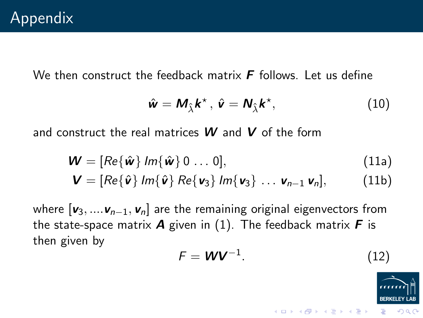We then construct the feedback matrix  $\bf{F}$  follows. Let us define

$$
\hat{\mathbf{w}} = \mathbf{M}_{\hat{\lambda}} \mathbf{k}^{\star}, \ \hat{\mathbf{v}} = \mathbf{N}_{\hat{\lambda}} \mathbf{k}^{\star}, \tag{10}
$$

and construct the real matrices  $W$  and  $V$  of the form

$$
\mathbf{W} = [Re\{\hat{\mathbf{w}}\} \, Im\{\hat{\mathbf{w}}\} \, 0 \, \dots \, 0], \tag{11a}
$$

$$
\mathbf{V} = [Re\{\hat{\mathbf{v}}\} Im\{\hat{\mathbf{v}}\} Re\{\mathbf{v}_3\} Im\{\mathbf{v}_3\} ... \mathbf{v}_{n-1} \mathbf{v}_n],
$$
 (11b)

where  $[v_3, ..., v_{n-1}, v_n]$  are the remaining original eigenvectors from the state-space matrix  $\bm{A}$  given in [\(1\)](#page-5-0). The feedback matrix  $\bm{F}$  is then given by

$$
F = \mathbf{W} \mathbf{V}^{-1}.
$$
 (12)

メロトメ 御 トメ 差 トメ 差 ト